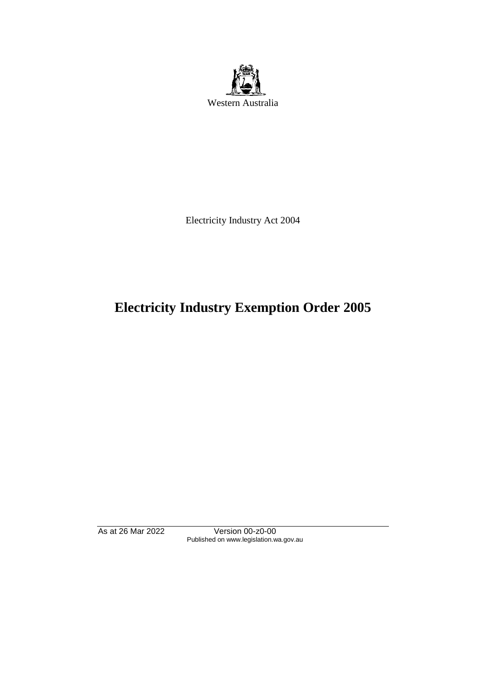

Electricity Industry Act 2004

# **Electricity Industry Exemption Order 2005**

As at 26 Mar 2022 Version 00-z0-00 Published on www.legislation.wa.gov.au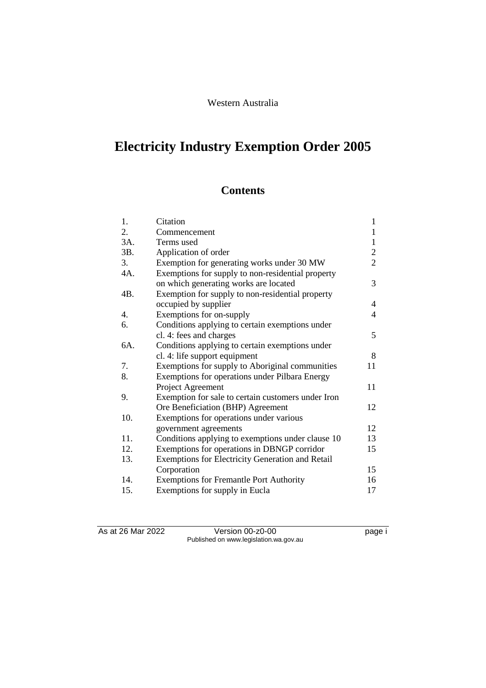# **Electricity Industry Exemption Order 2005**

# **Contents**

| 1.  | Citation                                                | $\mathbf{1}$   |
|-----|---------------------------------------------------------|----------------|
| 2.  | Commencement                                            | 1              |
| 3A. | Terms used                                              | 1              |
| 3B. | Application of order                                    | $\overline{2}$ |
| 3.  | Exemption for generating works under 30 MW              | $\overline{2}$ |
| 4A. | Exemptions for supply to non-residential property       |                |
|     | on which generating works are located                   | 3              |
| 4B. | Exemption for supply to non-residential property        |                |
|     | occupied by supplier                                    | 4              |
| 4.  | Exemptions for on-supply                                | 4              |
| 6.  | Conditions applying to certain exemptions under         |                |
|     | cl. 4: fees and charges                                 | 5              |
| 6A. | Conditions applying to certain exemptions under         |                |
|     | cl. 4: life support equipment                           | 8              |
| 7.  | Exemptions for supply to Aboriginal communities         | 11             |
| 8.  | Exemptions for operations under Pilbara Energy          |                |
|     | Project Agreement                                       | 11             |
| 9.  | Exemption for sale to certain customers under Iron      |                |
|     | Ore Beneficiation (BHP) Agreement                       | 12             |
| 10. | Exemptions for operations under various                 |                |
|     | government agreements                                   | 12             |
| 11. | Conditions applying to exemptions under clause 10       | 13             |
| 12. | Exemptions for operations in DBNGP corridor             | 15             |
| 13. | <b>Exemptions for Electricity Generation and Retail</b> |                |
|     | Corporation                                             | 15             |
| 14. | <b>Exemptions for Fremantle Port Authority</b>          | 16             |
| 15. | Exemptions for supply in Eucla                          | 17             |

As at 26 Mar 2022 Version 00-z0-00 Page i Published on www.legislation.wa.gov.au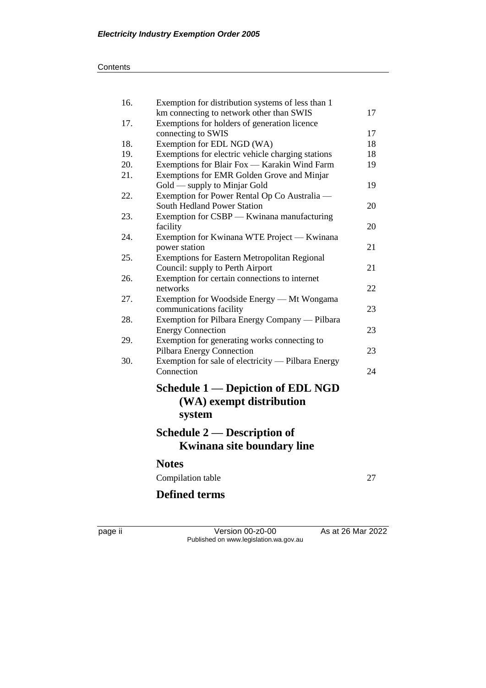| 16. | Exemption for distribution systems of less than 1         |    |  |
|-----|-----------------------------------------------------------|----|--|
|     | km connecting to network other than SWIS                  | 17 |  |
| 17. | Exemptions for holders of generation licence              |    |  |
|     | connecting to SWIS                                        | 17 |  |
| 18. | Exemption for EDL NGD (WA)                                | 18 |  |
| 19. | Exemptions for electric vehicle charging stations         | 18 |  |
| 20. | 19<br>Exemptions for Blair Fox — Karakin Wind Farm        |    |  |
| 21. | Exemptions for EMR Golden Grove and Minjar                |    |  |
|     | Gold — supply to Minjar Gold                              | 19 |  |
| 22. | Exemption for Power Rental Op Co Australia —              |    |  |
|     | <b>South Hedland Power Station</b>                        | 20 |  |
| 23. | Exemption for CSBP - Kwinana manufacturing                |    |  |
|     | facility                                                  | 20 |  |
| 24. | Exemption for Kwinana WTE Project — Kwinana               |    |  |
|     | power station                                             | 21 |  |
| 25. | <b>Exemptions for Eastern Metropolitan Regional</b>       |    |  |
|     | Council: supply to Perth Airport                          | 21 |  |
| 26. | Exemption for certain connections to internet<br>networks | 22 |  |
| 27. | Exemption for Woodside Energy - Mt Wongama                |    |  |
|     | communications facility                                   | 23 |  |
| 28. | Exemption for Pilbara Energy Company — Pilbara            |    |  |
|     | <b>Energy Connection</b>                                  | 23 |  |
| 29. | Exemption for generating works connecting to              |    |  |
|     | Pilbara Energy Connection                                 | 23 |  |
| 30. | Exemption for sale of electricity — Pilbara Energy        |    |  |
|     | Connection                                                | 24 |  |
|     |                                                           |    |  |
|     | <b>Schedule 1 — Depiction of EDL NGD</b>                  |    |  |
|     | (WA) exempt distribution                                  |    |  |
|     | system                                                    |    |  |
|     |                                                           |    |  |
|     | Schedule 2 — Description of                               |    |  |
|     | <b>Kwinana site boundary line</b>                         |    |  |
|     | <b>Notes</b>                                              |    |  |
|     | Compilation table                                         | 27 |  |
|     | <b>Defined terms</b>                                      |    |  |
|     |                                                           |    |  |

page ii Version 00-z0-00 As at 26 Mar 2022 Published on www.legislation.wa.gov.au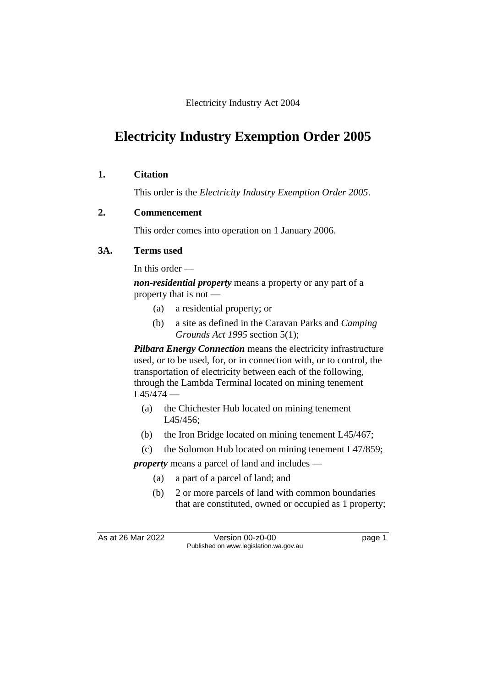Electricity Industry Act 2004

# **Electricity Industry Exemption Order 2005**

#### **1. Citation**

This order is the *Electricity Industry Exemption Order 2005*.

#### **2. Commencement**

This order comes into operation on 1 January 2006.

#### **3A. Terms used**

In this order —

*non-residential property* means a property or any part of a property that is not —

- (a) a residential property; or
- (b) a site as defined in the Caravan Parks and *Camping Grounds Act 1995* section 5(1);

*Pilbara Energy Connection* means the electricity infrastructure used, or to be used, for, or in connection with, or to control, the transportation of electricity between each of the following, through the Lambda Terminal located on mining tenement  $L45/474 -$ 

- (a) the Chichester Hub located on mining tenement L45/456;
- (b) the Iron Bridge located on mining tenement L45/467;
- (c) the Solomon Hub located on mining tenement L47/859;

*property* means a parcel of land and includes —

- (a) a part of a parcel of land; and
- (b) 2 or more parcels of land with common boundaries that are constituted, owned or occupied as 1 property;

As at 26 Mar 2022 Version 00-z0-00 Page 1 Published on www.legislation.wa.gov.au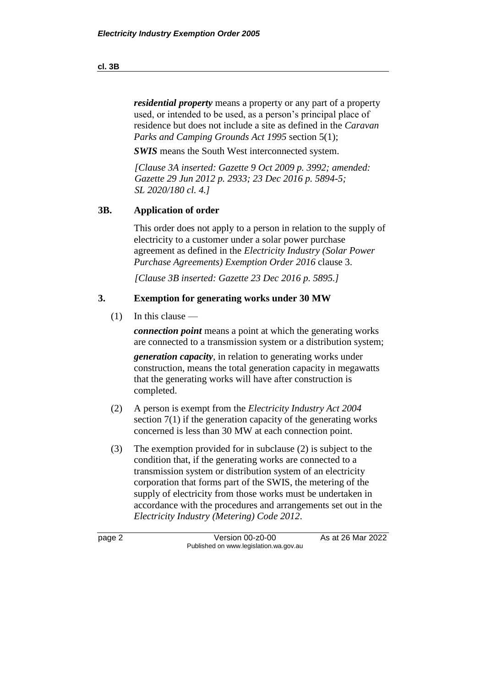*residential property* means a property or any part of a property used, or intended to be used, as a person's principal place of residence but does not include a site as defined in the *Caravan Parks and Camping Grounds Act 1995* section 5(1);

*SWIS* means the South West interconnected system.

*[Clause 3A inserted: Gazette 9 Oct 2009 p. 3992; amended: Gazette 29 Jun 2012 p. 2933; 23 Dec 2016 p. 5894-5; SL 2020/180 cl. 4.]*

#### **3B. Application of order**

This order does not apply to a person in relation to the supply of electricity to a customer under a solar power purchase agreement as defined in the *Electricity Industry (Solar Power Purchase Agreements) Exemption Order 2016* clause 3.

*[Clause 3B inserted: Gazette 23 Dec 2016 p. 5895.]*

#### **3. Exemption for generating works under 30 MW**

 $(1)$  In this clause —

*connection point* means a point at which the generating works are connected to a transmission system or a distribution system;

*generation capacity*, in relation to generating works under construction, means the total generation capacity in megawatts that the generating works will have after construction is completed.

- (2) A person is exempt from the *Electricity Industry Act 2004* section 7(1) if the generation capacity of the generating works concerned is less than 30 MW at each connection point.
- (3) The exemption provided for in subclause (2) is subject to the condition that, if the generating works are connected to a transmission system or distribution system of an electricity corporation that forms part of the SWIS, the metering of the supply of electricity from those works must be undertaken in accordance with the procedures and arrangements set out in the *Electricity Industry (Metering) Code 2012*.

page 2 **Version 00-z0-00** As at 26 Mar 2022 Published on www.legislation.wa.gov.au

#### **cl. 3B**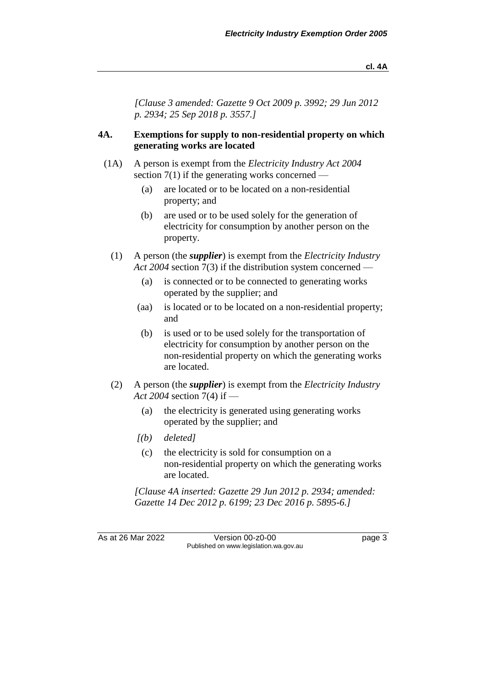*[Clause 3 amended: Gazette 9 Oct 2009 p. 3992; 29 Jun 2012 p. 2934; 25 Sep 2018 p. 3557.]*

#### **4A. Exemptions for supply to non-residential property on which generating works are located**

- (1A) A person is exempt from the *Electricity Industry Act 2004*  section  $7(1)$  if the generating works concerned —
	- (a) are located or to be located on a non-residential property; and
	- (b) are used or to be used solely for the generation of electricity for consumption by another person on the property.
	- (1) A person (the *supplier*) is exempt from the *Electricity Industry Act 2004* section 7(3) if the distribution system concerned —
		- (a) is connected or to be connected to generating works operated by the supplier; and
		- (aa) is located or to be located on a non-residential property; and
		- (b) is used or to be used solely for the transportation of electricity for consumption by another person on the non-residential property on which the generating works are located.
	- (2) A person (the *supplier*) is exempt from the *Electricity Industry Act 2004* section 7(4) if —
		- (a) the electricity is generated using generating works operated by the supplier; and
		- *[(b) deleted]*
			- (c) the electricity is sold for consumption on a non-residential property on which the generating works are located.

*[Clause 4A inserted: Gazette 29 Jun 2012 p. 2934; amended: Gazette 14 Dec 2012 p. 6199; 23 Dec 2016 p. 5895-6.]*

As at 26 Mar 2022 Version 00-z0-00 Page 3 Published on www.legislation.wa.gov.au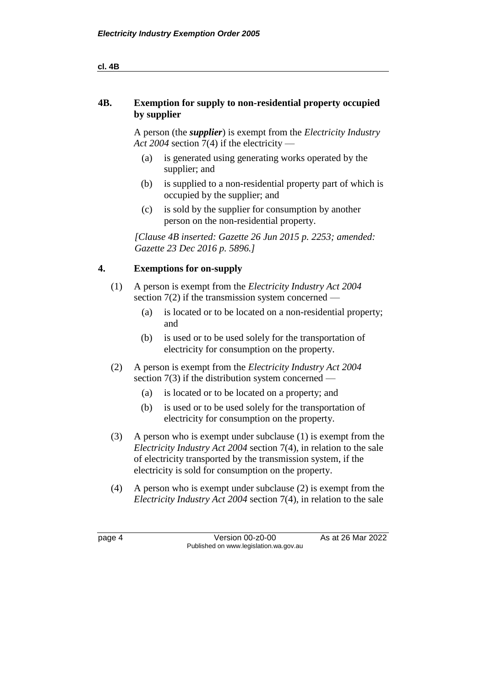#### **4B. Exemption for supply to non-residential property occupied by supplier**

A person (the *supplier*) is exempt from the *Electricity Industry Act 2004* section 7(4) if the electricity —

- (a) is generated using generating works operated by the supplier; and
- (b) is supplied to a non-residential property part of which is occupied by the supplier; and
- (c) is sold by the supplier for consumption by another person on the non-residential property.

*[Clause 4B inserted: Gazette 26 Jun 2015 p. 2253; amended: Gazette 23 Dec 2016 p. 5896.]*

#### **4. Exemptions for on-supply**

- (1) A person is exempt from the *Electricity Industry Act 2004* section  $7(2)$  if the transmission system concerned —
	- (a) is located or to be located on a non-residential property; and
	- (b) is used or to be used solely for the transportation of electricity for consumption on the property.
- (2) A person is exempt from the *Electricity Industry Act 2004* section  $7(3)$  if the distribution system concerned —
	- (a) is located or to be located on a property; and
	- (b) is used or to be used solely for the transportation of electricity for consumption on the property.
- (3) A person who is exempt under subclause (1) is exempt from the *Electricity Industry Act 2004* section 7(4), in relation to the sale of electricity transported by the transmission system, if the electricity is sold for consumption on the property.
- (4) A person who is exempt under subclause (2) is exempt from the *Electricity Industry Act 2004* section 7(4), in relation to the sale

page 4 Version 00-z0-00 As at 26 Mar 2022 Published on www.legislation.wa.gov.au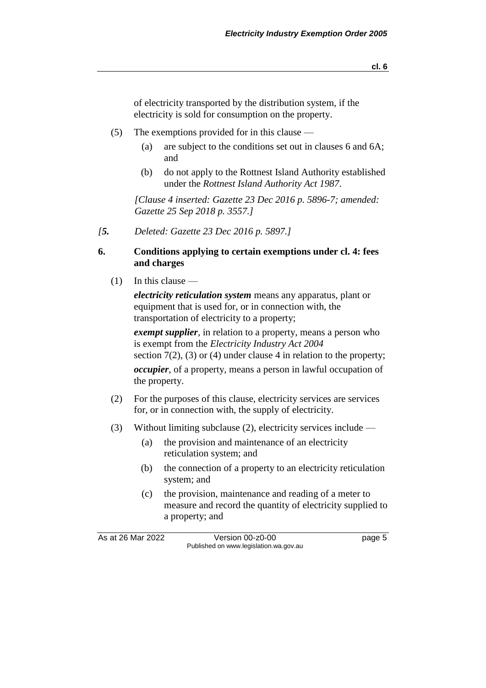**cl. 6**

of electricity transported by the distribution system, if the electricity is sold for consumption on the property.

- (5) The exemptions provided for in this clause
	- (a) are subject to the conditions set out in clauses 6 and 6A; and
	- (b) do not apply to the Rottnest Island Authority established under the *Rottnest Island Authority Act 1987*.

*[Clause 4 inserted: Gazette 23 Dec 2016 p. 5896-7; amended: Gazette 25 Sep 2018 p. 3557.]*

*[5. Deleted: Gazette 23 Dec 2016 p. 5897.]*

#### **6. Conditions applying to certain exemptions under cl. 4: fees and charges**

 $(1)$  In this clause —

*electricity reticulation system* means any apparatus, plant or equipment that is used for, or in connection with, the transportation of electricity to a property;

*exempt supplier*, in relation to a property, means a person who is exempt from the *Electricity Industry Act 2004* section  $7(2)$ , (3) or (4) under clause 4 in relation to the property; *occupier*, of a property, means a person in lawful occupation of the property.

- (2) For the purposes of this clause, electricity services are services for, or in connection with, the supply of electricity.
- (3) Without limiting subclause (2), electricity services include
	- (a) the provision and maintenance of an electricity reticulation system; and
	- (b) the connection of a property to an electricity reticulation system; and
	- (c) the provision, maintenance and reading of a meter to measure and record the quantity of electricity supplied to a property; and

As at 26 Mar 2022 Version 00-z0-00 Page 5 Published on www.legislation.wa.gov.au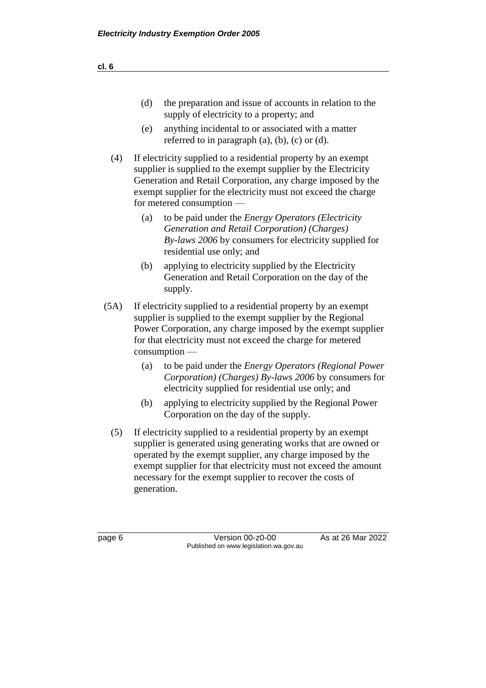| (d) | the preparation and issue of accounts in relation to the |  |  |  |  |
|-----|----------------------------------------------------------|--|--|--|--|
|     | supply of electricity to a property; and                 |  |  |  |  |

- (e) anything incidental to or associated with a matter referred to in paragraph  $(a)$ ,  $(b)$ ,  $(c)$  or  $(d)$ .
- (4) If electricity supplied to a residential property by an exempt supplier is supplied to the exempt supplier by the Electricity Generation and Retail Corporation, any charge imposed by the exempt supplier for the electricity must not exceed the charge for metered consumption —
	- (a) to be paid under the *Energy Operators (Electricity Generation and Retail Corporation) (Charges) By-laws 2006* by consumers for electricity supplied for residential use only; and
	- (b) applying to electricity supplied by the Electricity Generation and Retail Corporation on the day of the supply.
- (5A) If electricity supplied to a residential property by an exempt supplier is supplied to the exempt supplier by the Regional Power Corporation, any charge imposed by the exempt supplier for that electricity must not exceed the charge for metered consumption —
	- (a) to be paid under the *Energy Operators (Regional Power Corporation) (Charges) By-laws 2006* by consumers for electricity supplied for residential use only; and
	- (b) applying to electricity supplied by the Regional Power Corporation on the day of the supply.
	- (5) If electricity supplied to a residential property by an exempt supplier is generated using generating works that are owned or operated by the exempt supplier, any charge imposed by the exempt supplier for that electricity must not exceed the amount necessary for the exempt supplier to recover the costs of generation.

page 6 Version 00-z0-00 As at 26 Mar 2022 Published on www.legislation.wa.gov.au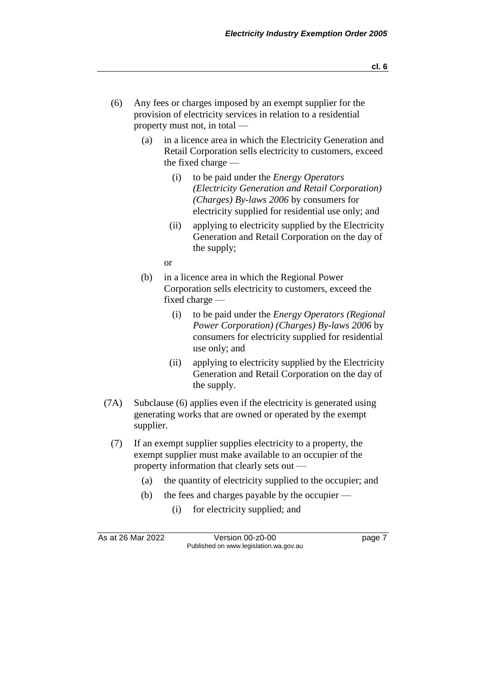- (6) Any fees or charges imposed by an exempt supplier for the provision of electricity services in relation to a residential property must not, in total —
	- (a) in a licence area in which the Electricity Generation and Retail Corporation sells electricity to customers, exceed the fixed charge —
		- (i) to be paid under the *Energy Operators (Electricity Generation and Retail Corporation) (Charges) By-laws 2006* by consumers for electricity supplied for residential use only; and
		- (ii) applying to electricity supplied by the Electricity Generation and Retail Corporation on the day of the supply;

or

- (b) in a licence area in which the Regional Power Corporation sells electricity to customers, exceed the fixed charge —
	- (i) to be paid under the *Energy Operators (Regional Power Corporation) (Charges) By-laws 2006* by consumers for electricity supplied for residential use only; and
	- (ii) applying to electricity supplied by the Electricity Generation and Retail Corporation on the day of the supply.
- (7A) Subclause (6) applies even if the electricity is generated using generating works that are owned or operated by the exempt supplier.
	- (7) If an exempt supplier supplies electricity to a property, the exempt supplier must make available to an occupier of the property information that clearly sets out —
		- (a) the quantity of electricity supplied to the occupier; and
		- (b) the fees and charges payable by the occupier
			- (i) for electricity supplied; and

As at 26 Mar 2022 Version 00-z0-00 Version 00-z0-00 Published on www.legislation.wa.gov.au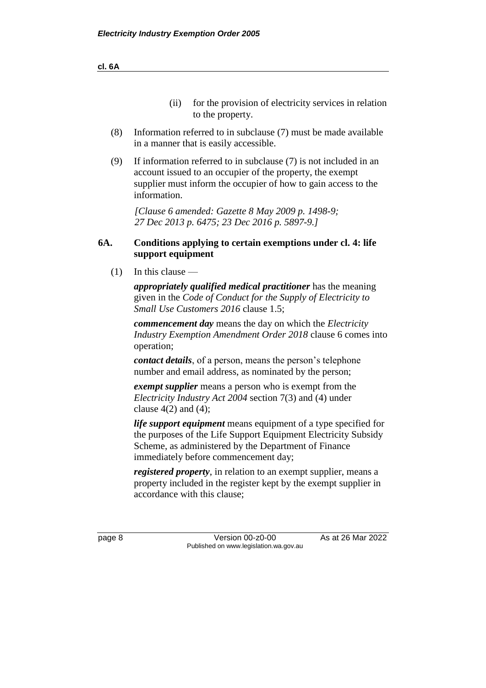**cl. 6A**

- (ii) for the provision of electricity services in relation to the property.
- (8) Information referred to in subclause (7) must be made available in a manner that is easily accessible.
- (9) If information referred to in subclause (7) is not included in an account issued to an occupier of the property, the exempt supplier must inform the occupier of how to gain access to the information.

*[Clause 6 amended: Gazette 8 May 2009 p. 1498-9; 27 Dec 2013 p. 6475; 23 Dec 2016 p. 5897-9.]*

#### **6A. Conditions applying to certain exemptions under cl. 4: life support equipment**

 $(1)$  In this clause —

*appropriately qualified medical practitioner* has the meaning given in the *Code of Conduct for the Supply of Electricity to Small Use Customers 2016* clause 1.5;

*commencement day* means the day on which the *Electricity Industry Exemption Amendment Order 2018* clause 6 comes into operation;

*contact details*, of a person, means the person's telephone number and email address, as nominated by the person;

*exempt supplier* means a person who is exempt from the *Electricity Industry Act 2004* section 7(3) and (4) under clause  $4(2)$  and  $(4)$ ;

*life support equipment* means equipment of a type specified for the purposes of the Life Support Equipment Electricity Subsidy Scheme, as administered by the Department of Finance immediately before commencement day;

*registered property*, in relation to an exempt supplier, means a property included in the register kept by the exempt supplier in accordance with this clause;

page 8 Version 00-z0-00 As at 26 Mar 2022 Published on www.legislation.wa.gov.au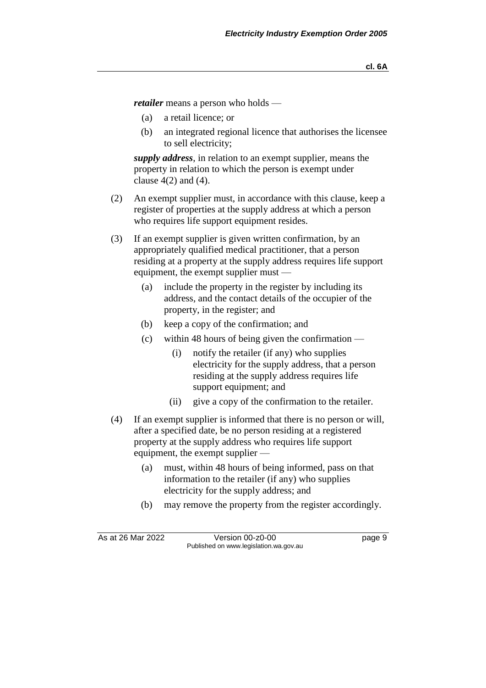*retailer* means a person who holds —

- (a) a retail licence; or
- (b) an integrated regional licence that authorises the licensee to sell electricity;

*supply address*, in relation to an exempt supplier, means the property in relation to which the person is exempt under clause  $4(2)$  and  $(4)$ .

- (2) An exempt supplier must, in accordance with this clause, keep a register of properties at the supply address at which a person who requires life support equipment resides.
- (3) If an exempt supplier is given written confirmation, by an appropriately qualified medical practitioner, that a person residing at a property at the supply address requires life support equipment, the exempt supplier must —
	- (a) include the property in the register by including its address, and the contact details of the occupier of the property, in the register; and
	- (b) keep a copy of the confirmation; and
	- (c) within 48 hours of being given the confirmation
		- (i) notify the retailer (if any) who supplies electricity for the supply address, that a person residing at the supply address requires life support equipment; and
		- (ii) give a copy of the confirmation to the retailer.
- (4) If an exempt supplier is informed that there is no person or will, after a specified date, be no person residing at a registered property at the supply address who requires life support equipment, the exempt supplier —
	- (a) must, within 48 hours of being informed, pass on that information to the retailer (if any) who supplies electricity for the supply address; and
	- (b) may remove the property from the register accordingly.

As at 26 Mar 2022 Version 00-z0-00 Page 9 Published on www.legislation.wa.gov.au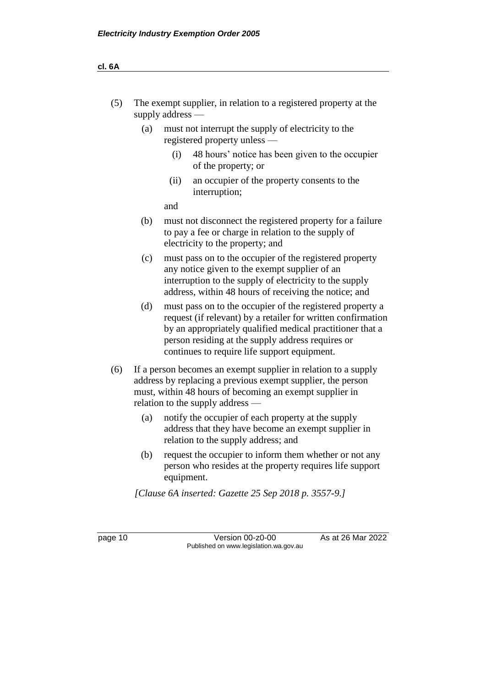| (5) | The exempt supplier, in relation to a registered property at the |  |
|-----|------------------------------------------------------------------|--|
|     | supply address $-$                                               |  |

- (a) must not interrupt the supply of electricity to the registered property unless —
	- (i) 48 hours' notice has been given to the occupier of the property; or
	- (ii) an occupier of the property consents to the interruption;

and

- (b) must not disconnect the registered property for a failure to pay a fee or charge in relation to the supply of electricity to the property; and
- (c) must pass on to the occupier of the registered property any notice given to the exempt supplier of an interruption to the supply of electricity to the supply address, within 48 hours of receiving the notice; and
- (d) must pass on to the occupier of the registered property a request (if relevant) by a retailer for written confirmation by an appropriately qualified medical practitioner that a person residing at the supply address requires or continues to require life support equipment.
- (6) If a person becomes an exempt supplier in relation to a supply address by replacing a previous exempt supplier, the person must, within 48 hours of becoming an exempt supplier in relation to the supply address —
	- (a) notify the occupier of each property at the supply address that they have become an exempt supplier in relation to the supply address; and
	- (b) request the occupier to inform them whether or not any person who resides at the property requires life support equipment.

*[Clause 6A inserted: Gazette 25 Sep 2018 p. 3557-9.]*

page 10 Version 00-z0-00 As at 26 Mar 2022 Published on www.legislation.wa.gov.au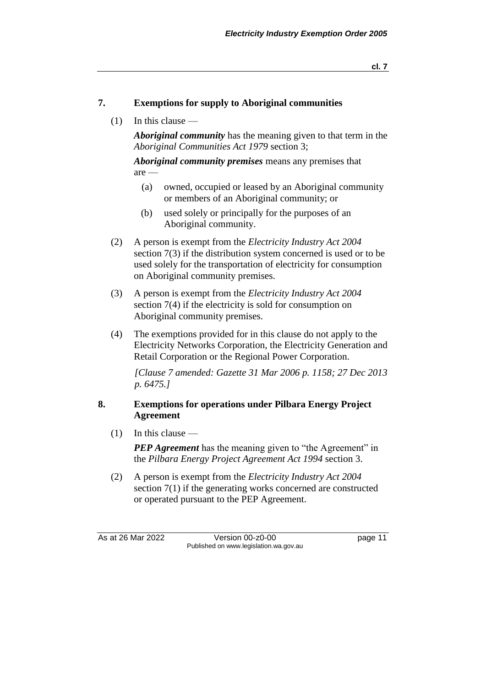#### **7. Exemptions for supply to Aboriginal communities**

(1) In this clause —

*Aboriginal community* has the meaning given to that term in the *Aboriginal Communities Act 1979* section 3;

*Aboriginal community premises* means any premises that are —

- (a) owned, occupied or leased by an Aboriginal community or members of an Aboriginal community; or
- (b) used solely or principally for the purposes of an Aboriginal community.
- (2) A person is exempt from the *Electricity Industry Act 2004* section 7(3) if the distribution system concerned is used or to be used solely for the transportation of electricity for consumption on Aboriginal community premises.
- (3) A person is exempt from the *Electricity Industry Act 2004* section 7(4) if the electricity is sold for consumption on Aboriginal community premises.
- (4) The exemptions provided for in this clause do not apply to the Electricity Networks Corporation, the Electricity Generation and Retail Corporation or the Regional Power Corporation.

*[Clause 7 amended: Gazette 31 Mar 2006 p. 1158; 27 Dec 2013 p. 6475.]*

#### **8. Exemptions for operations under Pilbara Energy Project Agreement**

(1) In this clause —

*PEP Agreement* has the meaning given to "the Agreement" in the *Pilbara Energy Project Agreement Act 1994* section 3.

(2) A person is exempt from the *Electricity Industry Act 2004* section 7(1) if the generating works concerned are constructed or operated pursuant to the PEP Agreement.

As at 26 Mar 2022 Version 00-z0-00 page 11 Published on www.legislation.wa.gov.au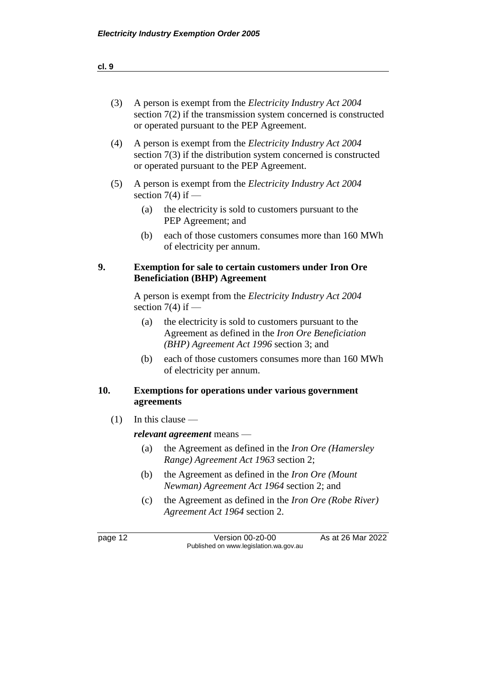| (3)               | A person is exempt from the <i>Electricity Industry Act</i> 2004<br>section $7(2)$ if the transmission system concerned is constructed<br>or operated pursuant to the PEP Agreement. |                                                                                                                                                       |  |  |  |
|-------------------|--------------------------------------------------------------------------------------------------------------------------------------------------------------------------------------|-------------------------------------------------------------------------------------------------------------------------------------------------------|--|--|--|
| (4)               | A person is exempt from the <i>Electricity Industry Act 2004</i><br>section $7(3)$ if the distribution system concerned is constructed<br>or operated pursuant to the PEP Agreement. |                                                                                                                                                       |  |  |  |
| (5)               | A person is exempt from the <i>Electricity Industry Act</i> 2004<br>section $7(4)$ if —                                                                                              |                                                                                                                                                       |  |  |  |
|                   | (a)                                                                                                                                                                                  | the electricity is sold to customers pursuant to the<br>PEP Agreement; and                                                                            |  |  |  |
|                   | (b)                                                                                                                                                                                  | each of those customers consumes more than 160 MWh<br>of electricity per annum.                                                                       |  |  |  |
| 9.                |                                                                                                                                                                                      | <b>Exemption for sale to certain customers under Iron Ore</b><br><b>Beneficiation (BHP) Agreement</b>                                                 |  |  |  |
|                   |                                                                                                                                                                                      | A person is exempt from the <i>Electricity Industry Act</i> 2004<br>section $7(4)$ if —                                                               |  |  |  |
|                   | (a)                                                                                                                                                                                  | the electricity is sold to customers pursuant to the<br>Agreement as defined in the Iron Ore Beneficiation<br>(BHP) Agreement Act 1996 section 3; and |  |  |  |
|                   | (b)                                                                                                                                                                                  | each of those customers consumes more than 160 MWh<br>of electricity per annum.                                                                       |  |  |  |
| 10.<br>agreements |                                                                                                                                                                                      | <b>Exemptions for operations under various government</b>                                                                                             |  |  |  |
| (1)               |                                                                                                                                                                                      | In this clause $-$                                                                                                                                    |  |  |  |
|                   | relevant agreement means -                                                                                                                                                           |                                                                                                                                                       |  |  |  |
|                   | (a)                                                                                                                                                                                  | the Agreement as defined in the <i>Iron Ore (Hamersley</i> )<br>Range) Agreement Act 1963 section 2;                                                  |  |  |  |
|                   | (b)                                                                                                                                                                                  | the Agreement as defined in the Iron Ore (Mount<br><i>Newman</i> ) Agreement Act 1964 section 2; and                                                  |  |  |  |
|                   | (c)                                                                                                                                                                                  | the Agreement as defined in the <i>Iron Ore</i> (Robe River)<br>Agreement Act 1964 section 2.                                                         |  |  |  |
|                   |                                                                                                                                                                                      |                                                                                                                                                       |  |  |  |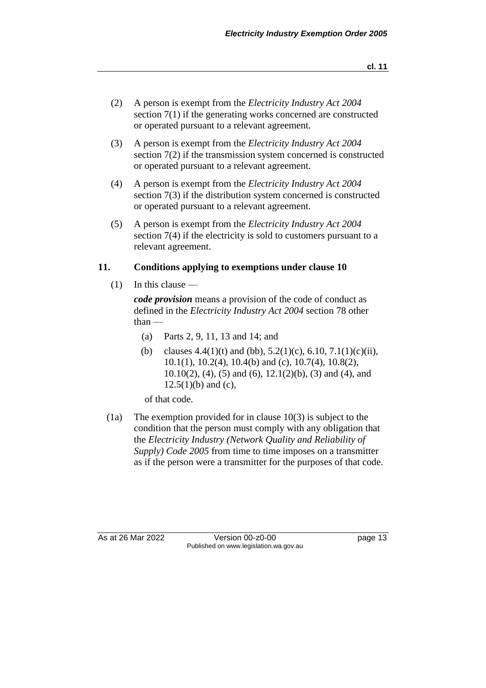- (2) A person is exempt from the *Electricity Industry Act 2004* section 7(1) if the generating works concerned are constructed or operated pursuant to a relevant agreement.
- (3) A person is exempt from the *Electricity Industry Act 2004* section 7(2) if the transmission system concerned is constructed or operated pursuant to a relevant agreement.
- (4) A person is exempt from the *Electricity Industry Act 2004* section 7(3) if the distribution system concerned is constructed or operated pursuant to a relevant agreement.
- (5) A person is exempt from the *Electricity Industry Act 2004* section 7(4) if the electricity is sold to customers pursuant to a relevant agreement.

#### **11. Conditions applying to exemptions under clause 10**

 $(1)$  In this clause  $-$ 

*code provision* means a provision of the code of conduct as defined in the *Electricity Industry Act 2004* section 78 other than —

- (a) Parts 2, 9, 11, 13 and 14; and
- (b) clauses  $4.4(1)(t)$  and (bb),  $5.2(1)(c)$ ,  $6.10$ ,  $7.1(1)(c)(ii)$ ,  $10.1(1)$ ,  $10.2(4)$ ,  $10.4(b)$  and (c),  $10.7(4)$ ,  $10.8(2)$ , 10.10(2), (4), (5) and (6), 12.1(2)(b), (3) and (4), and  $12.5(1)(b)$  and (c),

of that code.

(1a) The exemption provided for in clause 10(3) is subject to the condition that the person must comply with any obligation that the *Electricity Industry (Network Quality and Reliability of Supply) Code 2005* from time to time imposes on a transmitter as if the person were a transmitter for the purposes of that code.

As at 26 Mar 2022 Version 00-z0-00 page 13 Published on www.legislation.wa.gov.au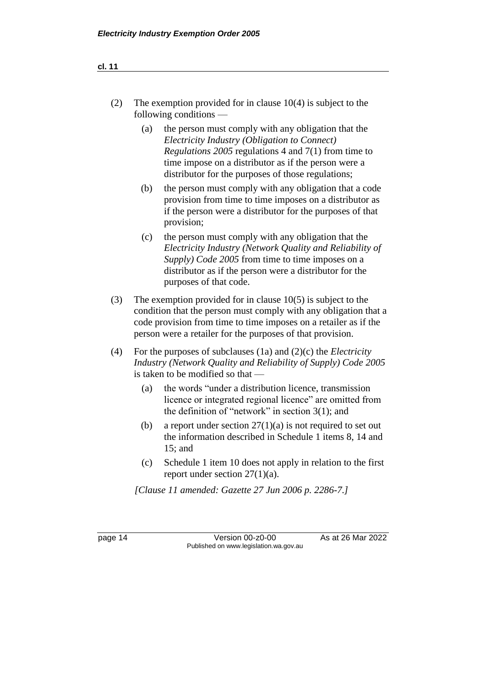**cl. 11**

| (2) | The exemption provided for in clause $10(4)$ is subject to the<br>following conditions $-$                        |
|-----|-------------------------------------------------------------------------------------------------------------------|
|     | the person must comply with any obligation that the<br>(a)<br><i>Electricity Industry (Obligation to Connect)</i> |

- *Electricity Industry (Obligation to Connect) Regulations 2005* regulations 4 and 7(1) from time to time impose on a distributor as if the person were a distributor for the purposes of those regulations;
- (b) the person must comply with any obligation that a code provision from time to time imposes on a distributor as if the person were a distributor for the purposes of that provision;
- (c) the person must comply with any obligation that the *Electricity Industry (Network Quality and Reliability of Supply) Code 2005* from time to time imposes on a distributor as if the person were a distributor for the purposes of that code.
- (3) The exemption provided for in clause 10(5) is subject to the condition that the person must comply with any obligation that a code provision from time to time imposes on a retailer as if the person were a retailer for the purposes of that provision.
- (4) For the purposes of subclauses (1a) and (2)(c) the *Electricity Industry (Network Quality and Reliability of Supply) Code 2005* is taken to be modified so that —
	- (a) the words "under a distribution licence, transmission licence or integrated regional licence" are omitted from the definition of "network" in section 3(1); and
	- (b) a report under section  $27(1)(a)$  is not required to set out the information described in Schedule 1 items 8, 14 and 15; and
	- (c) Schedule 1 item 10 does not apply in relation to the first report under section 27(1)(a).

*[Clause 11 amended: Gazette 27 Jun 2006 p. 2286-7.]*

page 14 Version 00-z0-00 As at 26 Mar 2022 Published on www.legislation.wa.gov.au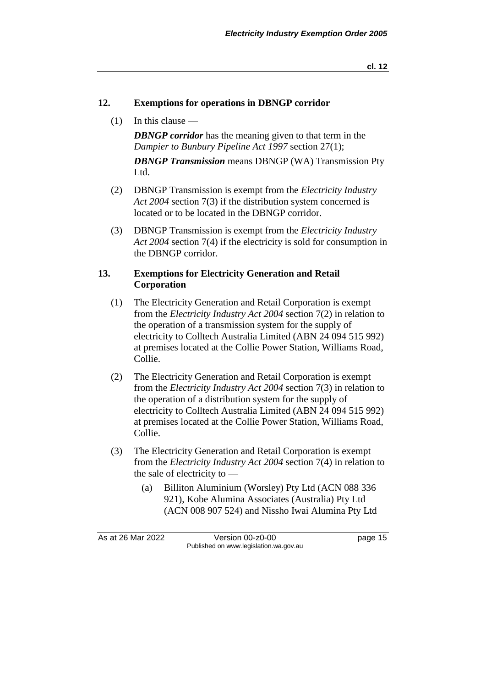#### **12. Exemptions for operations in DBNGP corridor**

(1) In this clause —

*DBNGP corridor* has the meaning given to that term in the *Dampier to Bunbury Pipeline Act 1997* section 27(1); *DBNGP Transmission* means DBNGP (WA) Transmission Pty Ltd.

- (2) DBNGP Transmission is exempt from the *Electricity Industry Act 2004* section 7(3) if the distribution system concerned is located or to be located in the DBNGP corridor.
- (3) DBNGP Transmission is exempt from the *Electricity Industry Act 2004* section 7(4) if the electricity is sold for consumption in the DBNGP corridor.

#### **13. Exemptions for Electricity Generation and Retail Corporation**

- (1) The Electricity Generation and Retail Corporation is exempt from the *Electricity Industry Act 2004* section 7(2) in relation to the operation of a transmission system for the supply of electricity to Colltech Australia Limited (ABN 24 094 515 992) at premises located at the Collie Power Station, Williams Road, Collie.
- (2) The Electricity Generation and Retail Corporation is exempt from the *Electricity Industry Act 2004* section 7(3) in relation to the operation of a distribution system for the supply of electricity to Colltech Australia Limited (ABN 24 094 515 992) at premises located at the Collie Power Station, Williams Road, Collie.
- (3) The Electricity Generation and Retail Corporation is exempt from the *Electricity Industry Act 2004* section 7(4) in relation to the sale of electricity to —
	- (a) Billiton Aluminium (Worsley) Pty Ltd (ACN 088 336 921), Kobe Alumina Associates (Australia) Pty Ltd (ACN 008 907 524) and Nissho Iwai Alumina Pty Ltd

As at 26 Mar 2022 Version 00-z0-00 page 15 Published on www.legislation.wa.gov.au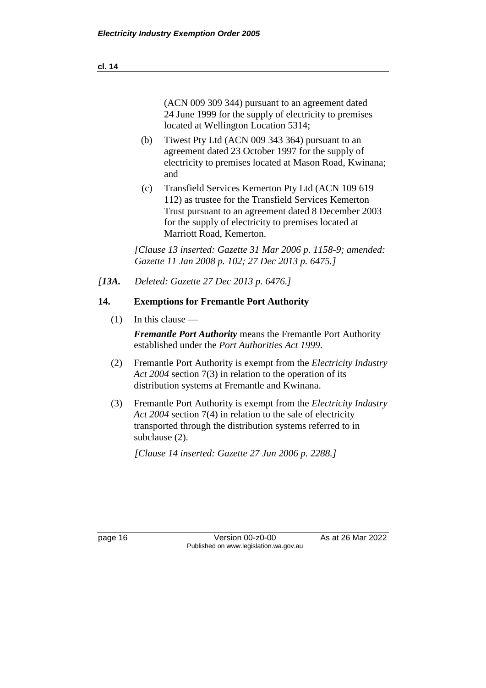(ACN 009 309 344) pursuant to an agreement dated 24 June 1999 for the supply of electricity to premises located at Wellington Location 5314;

- (b) Tiwest Pty Ltd (ACN 009 343 364) pursuant to an agreement dated 23 October 1997 for the supply of electricity to premises located at Mason Road, Kwinana; and
- (c) Transfield Services Kemerton Pty Ltd (ACN 109 619 112) as trustee for the Transfield Services Kemerton Trust pursuant to an agreement dated 8 December 2003 for the supply of electricity to premises located at Marriott Road, Kemerton.

*[Clause 13 inserted: Gazette 31 Mar 2006 p. 1158-9; amended: Gazette 11 Jan 2008 p. 102; 27 Dec 2013 p. 6475.]*

*[13A. Deleted: Gazette 27 Dec 2013 p. 6476.]*

#### **14. Exemptions for Fremantle Port Authority**

 $(1)$  In this clause —

*Fremantle Port Authority* means the Fremantle Port Authority established under the *Port Authorities Act 1999*.

- (2) Fremantle Port Authority is exempt from the *Electricity Industry Act 2004* section 7(3) in relation to the operation of its distribution systems at Fremantle and Kwinana.
- (3) Fremantle Port Authority is exempt from the *Electricity Industry Act 2004* section 7(4) in relation to the sale of electricity transported through the distribution systems referred to in subclause (2).

*[Clause 14 inserted: Gazette 27 Jun 2006 p. 2288.]*

page 16 Version 00-z0-00 As at 26 Mar 2022 Published on www.legislation.wa.gov.au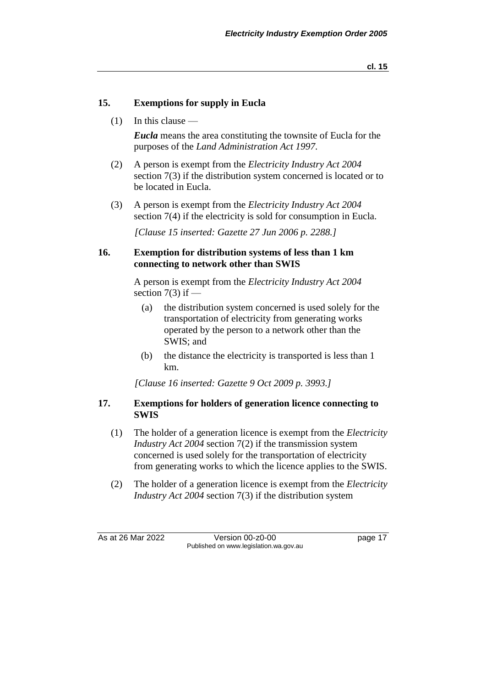**cl. 15**

#### **15. Exemptions for supply in Eucla**

(1) In this clause —

*Eucla* means the area constituting the townsite of Eucla for the purposes of the *Land Administration Act 1997*.

- (2) A person is exempt from the *Electricity Industry Act 2004* section 7(3) if the distribution system concerned is located or to be located in Eucla.
- (3) A person is exempt from the *Electricity Industry Act 2004* section 7(4) if the electricity is sold for consumption in Eucla.

*[Clause 15 inserted: Gazette 27 Jun 2006 p. 2288.]*

#### **16. Exemption for distribution systems of less than 1 km connecting to network other than SWIS**

A person is exempt from the *Electricity Industry Act 2004* section  $7(3)$  if  $-$ 

- (a) the distribution system concerned is used solely for the transportation of electricity from generating works operated by the person to a network other than the SWIS; and
- (b) the distance the electricity is transported is less than 1 km.

*[Clause 16 inserted: Gazette 9 Oct 2009 p. 3993.]*

#### **17. Exemptions for holders of generation licence connecting to SWIS**

- (1) The holder of a generation licence is exempt from the *Electricity Industry Act 2004* section 7(2) if the transmission system concerned is used solely for the transportation of electricity from generating works to which the licence applies to the SWIS.
- (2) The holder of a generation licence is exempt from the *Electricity Industry Act 2004* section 7(3) if the distribution system

As at 26 Mar 2022 Version 00-z0-00 page 17 Published on www.legislation.wa.gov.au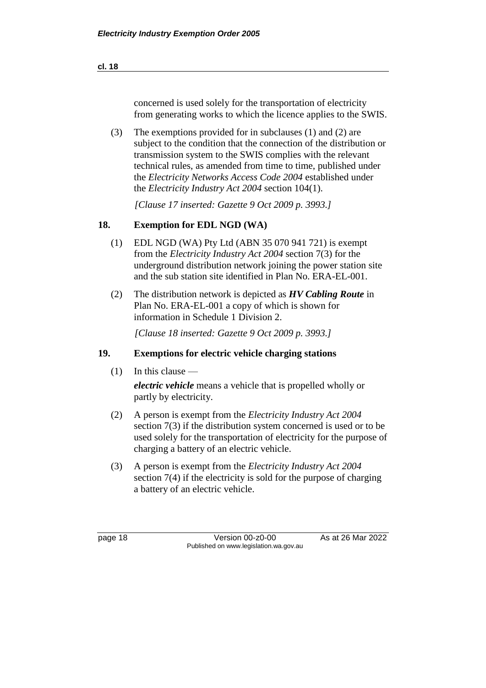(3) The exemptions provided for in subclauses (1) and (2) are subject to the condition that the connection of the distribution or transmission system to the SWIS complies with the relevant technical rules, as amended from time to time, published under the *Electricity Networks Access Code 2004* established under the *Electricity Industry Act 2004* section 104(1).

*[Clause 17 inserted: Gazette 9 Oct 2009 p. 3993.]*

## **18. Exemption for EDL NGD (WA)**

- (1) EDL NGD (WA) Pty Ltd (ABN 35 070 941 721) is exempt from the *Electricity Industry Act 2004* section 7(3) for the underground distribution network joining the power station site and the sub station site identified in Plan No. ERA-EL-001.
- (2) The distribution network is depicted as *HV Cabling Route* in Plan No. ERA-EL-001 a copy of which is shown for information in Schedule 1 Division 2.

*[Clause 18 inserted: Gazette 9 Oct 2009 p. 3993.]*

## **19. Exemptions for electric vehicle charging stations**

 $(1)$  In this clause —

*electric vehicle* means a vehicle that is propelled wholly or partly by electricity.

- (2) A person is exempt from the *Electricity Industry Act 2004* section 7(3) if the distribution system concerned is used or to be used solely for the transportation of electricity for the purpose of charging a battery of an electric vehicle.
- (3) A person is exempt from the *Electricity Industry Act 2004* section 7(4) if the electricity is sold for the purpose of charging a battery of an electric vehicle.

page 18 Version 00-z0-00 As at 26 Mar 2022 Published on www.legislation.wa.gov.au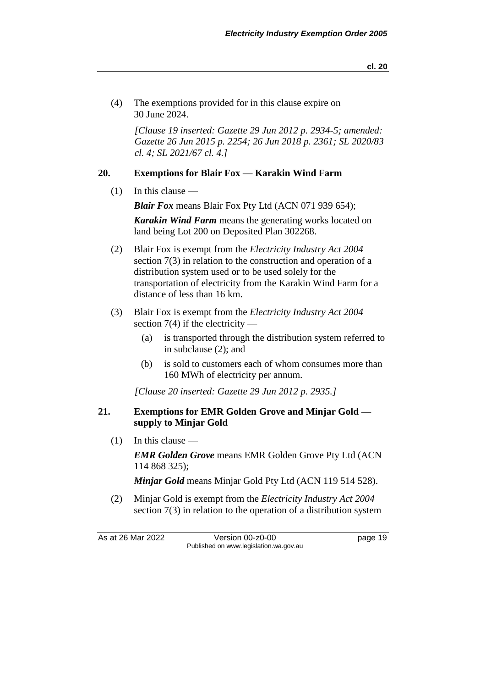(4) The exemptions provided for in this clause expire on 30 June 2024.

*[Clause 19 inserted: Gazette 29 Jun 2012 p. 2934-5; amended: Gazette 26 Jun 2015 p. 2254; 26 Jun 2018 p. 2361; SL 2020/83 cl. 4; SL 2021/67 cl. 4.]*

#### **20. Exemptions for Blair Fox — Karakin Wind Farm**

 $(1)$  In this clause —

*Blair Fox* means Blair Fox Pty Ltd (ACN 071 939 654);

*Karakin Wind Farm* means the generating works located on land being Lot 200 on Deposited Plan 302268.

- (2) Blair Fox is exempt from the *Electricity Industry Act 2004* section 7(3) in relation to the construction and operation of a distribution system used or to be used solely for the transportation of electricity from the Karakin Wind Farm for a distance of less than 16 km.
- (3) Blair Fox is exempt from the *Electricity Industry Act 2004* section  $7(4)$  if the electricity —
	- (a) is transported through the distribution system referred to in subclause (2); and
	- (b) is sold to customers each of whom consumes more than 160 MWh of electricity per annum.

*[Clause 20 inserted: Gazette 29 Jun 2012 p. 2935.]*

#### **21. Exemptions for EMR Golden Grove and Minjar Gold supply to Minjar Gold**

 $(1)$  In this clause —

*EMR Golden Grove* means EMR Golden Grove Pty Ltd (ACN 114 868 325);

*Minjar Gold* means Minjar Gold Pty Ltd (ACN 119 514 528).

(2) Minjar Gold is exempt from the *Electricity Industry Act 2004* section 7(3) in relation to the operation of a distribution system

As at 26 Mar 2022 Version 00-z0-00 page 19 Published on www.legislation.wa.gov.au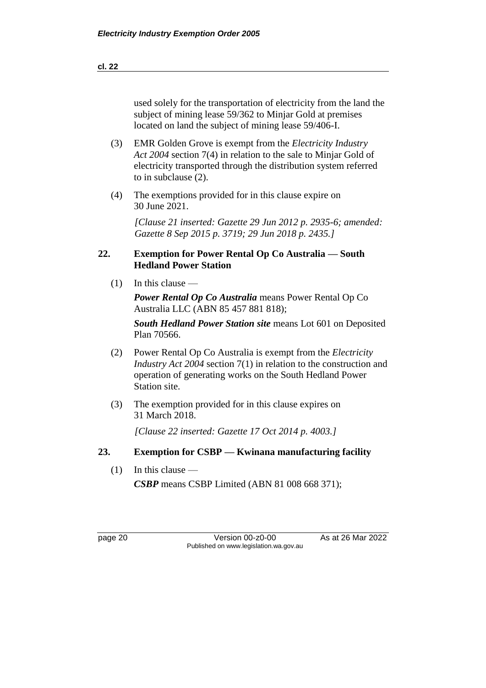| used solely for the transportation of electricity from the land the |
|---------------------------------------------------------------------|
| subject of mining lease 59/362 to Minjar Gold at premises           |

(3) EMR Golden Grove is exempt from the *Electricity Industry Act 2004* section 7(4) in relation to the sale to Minjar Gold of electricity transported through the distribution system referred to in subclause (2).

located on land the subject of mining lease 59/406-I.

(4) The exemptions provided for in this clause expire on 30 June 2021.

> *[Clause 21 inserted: Gazette 29 Jun 2012 p. 2935-6; amended: Gazette 8 Sep 2015 p. 3719; 29 Jun 2018 p. 2435.]*

#### **22. Exemption for Power Rental Op Co Australia — South Hedland Power Station**

(1) In this clause —

*Power Rental Op Co Australia* means Power Rental Op Co Australia LLC (ABN 85 457 881 818);

*South Hedland Power Station site* means Lot 601 on Deposited Plan 70566.

- (2) Power Rental Op Co Australia is exempt from the *Electricity Industry Act 2004* section 7(1) in relation to the construction and operation of generating works on the South Hedland Power Station site.
- (3) The exemption provided for in this clause expires on 31 March 2018.

*[Clause 22 inserted: Gazette 17 Oct 2014 p. 4003.]*

#### **23. Exemption for CSBP — Kwinana manufacturing facility**

(1) In this clause —

*CSBP* means CSBP Limited (ABN 81 008 668 371);

page 20 Version 00-z0-00 As at 26 Mar 2022 Published on www.legislation.wa.gov.au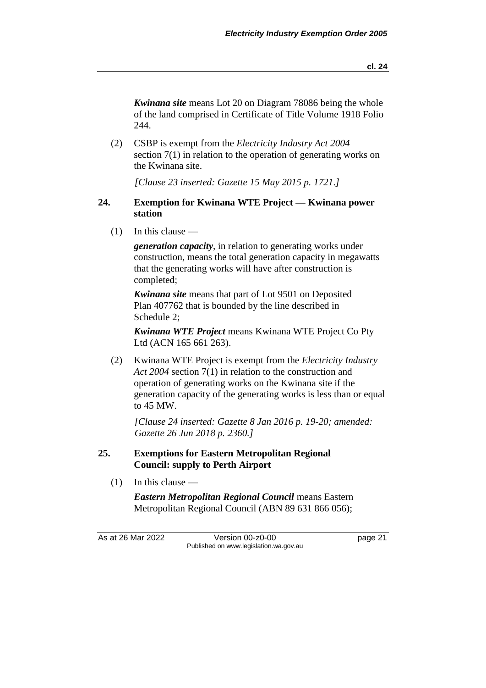*Kwinana site* means Lot 20 on Diagram 78086 being the whole of the land comprised in Certificate of Title Volume 1918 Folio 244.

(2) CSBP is exempt from the *Electricity Industry Act 2004* section 7(1) in relation to the operation of generating works on the Kwinana site.

*[Clause 23 inserted: Gazette 15 May 2015 p. 1721.]*

#### **24. Exemption for Kwinana WTE Project — Kwinana power station**

(1) In this clause —

*generation capacity*, in relation to generating works under construction, means the total generation capacity in megawatts that the generating works will have after construction is completed;

*Kwinana site* means that part of Lot 9501 on Deposited Plan 407762 that is bounded by the line described in Schedule 2;

*Kwinana WTE Project* means Kwinana WTE Project Co Pty Ltd (ACN 165 661 263).

(2) Kwinana WTE Project is exempt from the *Electricity Industry Act 2004* section 7(1) in relation to the construction and operation of generating works on the Kwinana site if the generation capacity of the generating works is less than or equal to 45 MW.

*[Clause 24 inserted: Gazette 8 Jan 2016 p. 19-20; amended: Gazette 26 Jun 2018 p. 2360.]*

### **25. Exemptions for Eastern Metropolitan Regional Council: supply to Perth Airport**

 $(1)$  In this clause —

*Eastern Metropolitan Regional Council* means Eastern Metropolitan Regional Council (ABN 89 631 866 056);

As at 26 Mar 2022 Version 00-z0-00 page 21 Published on www.legislation.wa.gov.au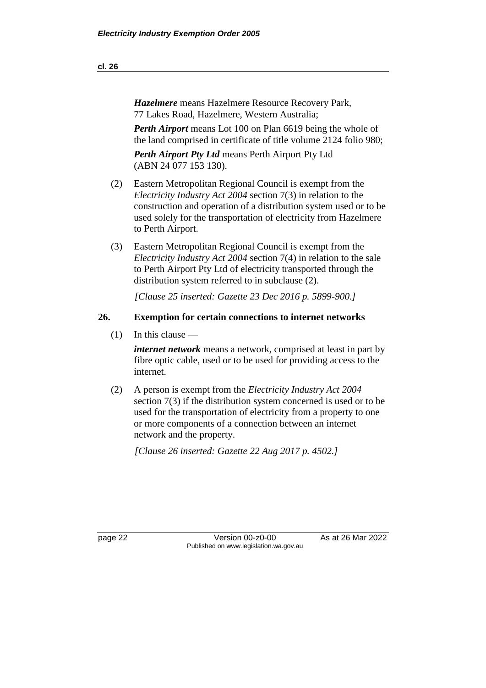*Hazelmere* means Hazelmere Resource Recovery Park, 77 Lakes Road, Hazelmere, Western Australia;

*Perth Airport* means Lot 100 on Plan 6619 being the whole of the land comprised in certificate of title volume 2124 folio 980;

*Perth Airport Pty Ltd* means Perth Airport Pty Ltd (ABN 24 077 153 130).

- (2) Eastern Metropolitan Regional Council is exempt from the *Electricity Industry Act 2004* section 7(3) in relation to the construction and operation of a distribution system used or to be used solely for the transportation of electricity from Hazelmere to Perth Airport.
- (3) Eastern Metropolitan Regional Council is exempt from the *Electricity Industry Act 2004* section 7(4) in relation to the sale to Perth Airport Pty Ltd of electricity transported through the distribution system referred to in subclause (2).

*[Clause 25 inserted: Gazette 23 Dec 2016 p. 5899-900.]*

#### **26. Exemption for certain connections to internet networks**

 $(1)$  In this clause —

*internet network* means a network, comprised at least in part by fibre optic cable, used or to be used for providing access to the internet.

(2) A person is exempt from the *Electricity Industry Act 2004* section 7(3) if the distribution system concerned is used or to be used for the transportation of electricity from a property to one or more components of a connection between an internet network and the property.

*[Clause 26 inserted: Gazette 22 Aug 2017 p. 4502.]*

page 22 Version 00-z0-00 As at 26 Mar 2022 Published on www.legislation.wa.gov.au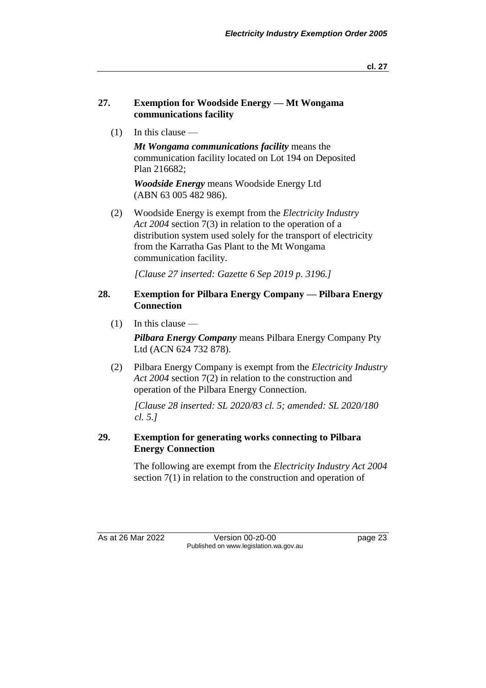**cl. 27**

#### **27. Exemption for Woodside Energy — Mt Wongama communications facility**

(1) In this clause —

*Mt Wongama communications facility* means the communication facility located on Lot 194 on Deposited Plan 216682;

*Woodside Energy* means Woodside Energy Ltd (ABN 63 005 482 986).

(2) Woodside Energy is exempt from the *Electricity Industry Act 2004* section 7(3) in relation to the operation of a distribution system used solely for the transport of electricity from the Karratha Gas Plant to the Mt Wongama communication facility.

*[Clause 27 inserted: Gazette 6 Sep 2019 p. 3196.]*

#### **28. Exemption for Pilbara Energy Company — Pilbara Energy Connection**

 $(1)$  In this clause —

*Pilbara Energy Company* means Pilbara Energy Company Pty Ltd (ACN 624 732 878).

(2) Pilbara Energy Company is exempt from the *Electricity Industry Act 2004* section 7(2) in relation to the construction and operation of the Pilbara Energy Connection.

*[Clause 28 inserted: SL 2020/83 cl. 5; amended: SL 2020/180 cl. 5.]*

### **29. Exemption for generating works connecting to Pilbara Energy Connection**

The following are exempt from the *Electricity Industry Act 2004* section 7(1) in relation to the construction and operation of

As at 26 Mar 2022 Version 00-z0-00 page 23 Published on www.legislation.wa.gov.au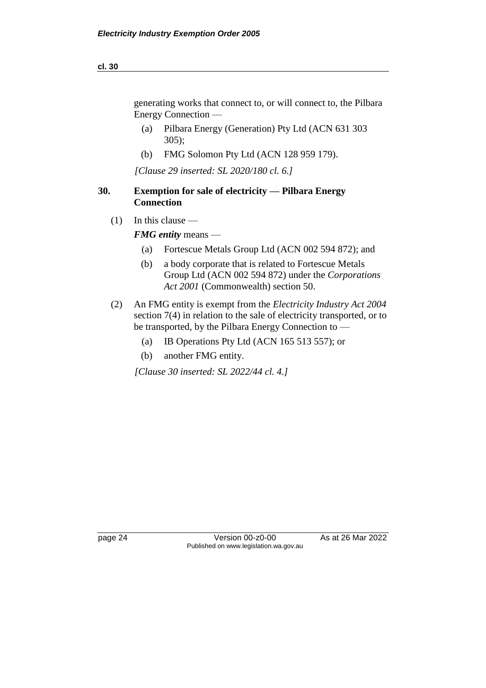generating works that connect to, or will connect to, the Pilbara Energy Connection —

- (a) Pilbara Energy (Generation) Pty Ltd (ACN 631 303 305);
- (b) FMG Solomon Pty Ltd (ACN 128 959 179).

*[Clause 29 inserted: SL 2020/180 cl. 6.]*

### **30. Exemption for sale of electricity — Pilbara Energy Connection**

(1) In this clause —

*FMG entity* means —

- (a) Fortescue Metals Group Ltd (ACN 002 594 872); and
- (b) a body corporate that is related to Fortescue Metals Group Ltd (ACN 002 594 872) under the *Corporations Act 2001* (Commonwealth) section 50.
- (2) An FMG entity is exempt from the *Electricity Industry Act 2004*  section 7(4) in relation to the sale of electricity transported, or to be transported, by the Pilbara Energy Connection to —
	- (a) IB Operations Pty Ltd (ACN 165 513 557); or
	- (b) another FMG entity.

*[Clause 30 inserted: SL 2022/44 cl. 4.]*

page 24 Version 00-z0-00 As at 26 Mar 2022 Published on www.legislation.wa.gov.au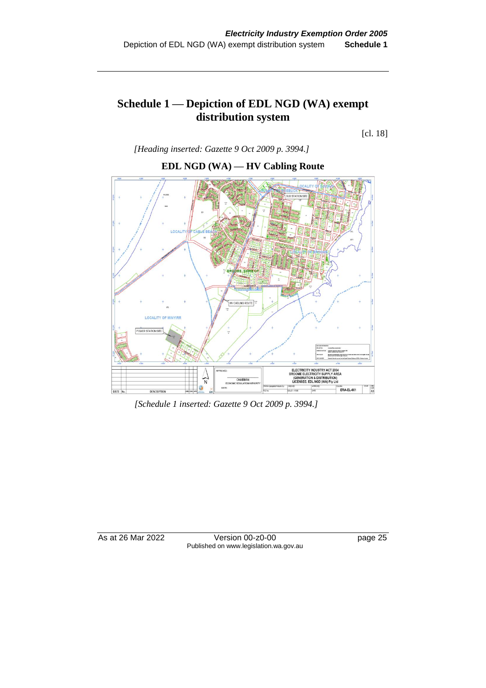## **Schedule 1 — Depiction of EDL NGD (WA) exempt distribution system**

[cl. 18]



*[Heading inserted: Gazette 9 Oct 2009 p. 3994.]*

*[Schedule 1 inserted: Gazette 9 Oct 2009 p. 3994.]*

As at 26 Mar 2022 Version 00-z0-00 page 25 Published on www.legislation.wa.gov.au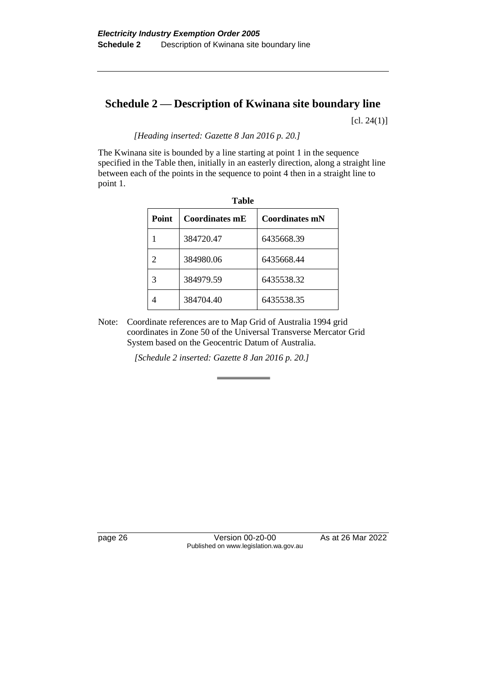# **Schedule 2 — Description of Kwinana site boundary line**

 $[cl. 24(1)]$ 

*[Heading inserted: Gazette 8 Jan 2016 p. 20.]*

The Kwinana site is bounded by a line starting at point 1 in the sequence specified in the Table then, initially in an easterly direction, along a straight line between each of the points in the sequence to point 4 then in a straight line to point 1.

| таніс        |                |                       |  |
|--------------|----------------|-----------------------|--|
| <b>Point</b> | Coordinates mE | <b>Coordinates mN</b> |  |
|              | 384720.47      | 6435668.39            |  |
|              | 384980.06      | 6435668.44            |  |
|              | 384979.59      | 6435538.32            |  |
|              | 384704.40      | 6435538.35            |  |

**Table**

Note: Coordinate references are to Map Grid of Australia 1994 grid coordinates in Zone 50 of the Universal Transverse Mercator Grid System based on the Geocentric Datum of Australia.

*[Schedule 2 inserted: Gazette 8 Jan 2016 p. 20.]*

page 26 Version 00-z0-00 As at 26 Mar 2022 Published on www.legislation.wa.gov.au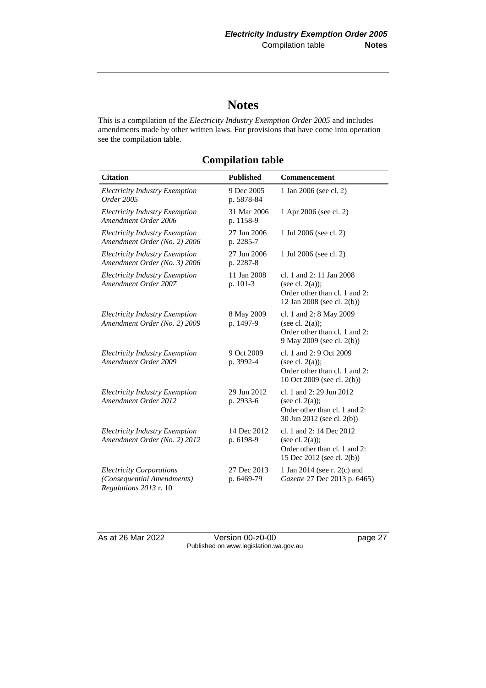# **Notes**

This is a compilation of the *Electricity Industry Exemption Order 2005* and includes amendments made by other written laws. For provisions that have come into operation see the compilation table.

| <b>Citation</b>                                                                         | <b>Published</b>          | <b>Commencement</b>                                                                                           |
|-----------------------------------------------------------------------------------------|---------------------------|---------------------------------------------------------------------------------------------------------------|
| <b>Electricity Industry Exemption</b><br>Order 2005                                     | 9 Dec 2005<br>p. 5878-84  | 1 Jan 2006 (see cl. 2)                                                                                        |
| <b>Electricity Industry Exemption</b><br>Amendment Order 2006                           | 31 Mar 2006<br>p. 1158-9  | 1 Apr 2006 (see cl. 2)                                                                                        |
| Electricity Industry Exemption<br>Amendment Order (No. 2) 2006                          | 27 Jun 2006<br>p. 2285-7  | 1 Jul 2006 (see cl. 2)                                                                                        |
| <b>Electricity Industry Exemption</b><br>Amendment Order (No. 3) 2006                   | 27 Jun 2006<br>p. 2287-8  | 1 Jul 2006 (see cl. 2)                                                                                        |
| <i>Electricity Industry Exemption</i><br>Amendment Order 2007                           | 11 Jan 2008<br>p. 101-3   | cl. 1 and 2: 11 Jan 2008<br>(see cl. $2(a)$ );<br>Order other than cl. 1 and 2:<br>12 Jan 2008 (see cl. 2(b)) |
| <b>Electricity Industry Exemption</b><br>Amendment Order (No. 2) 2009                   | 8 May 2009<br>p. 1497-9   | cl. 1 and 2: 8 May 2009<br>(see cl. $2(a)$ );<br>Order other than cl. 1 and 2:<br>9 May 2009 (see cl. 2(b))   |
| <b>Electricity Industry Exemption</b><br>Amendment Order 2009                           | 9 Oct 2009<br>p. 3992-4   | cl. 1 and 2: 9 Oct 2009<br>(see cl. $2(a)$ );<br>Order other than cl. 1 and 2:<br>10 Oct 2009 (see cl. 2(b))  |
| <b>Electricity Industry Exemption</b><br>Amendment Order 2012                           | 29 Jun 2012<br>p. 2933-6  | cl. 1 and 2: 29 Jun 2012<br>(see cl. $2(a)$ );<br>Order other than cl. 1 and 2:<br>30 Jun 2012 (see cl. 2(b)) |
| <b>Electricity Industry Exemption</b><br>Amendment Order (No. 2) 2012                   | 14 Dec 2012<br>p. 6198-9  | cl. 1 and 2: 14 Dec 2012<br>(see cl. $2(a)$ );<br>Order other than cl. 1 and 2:<br>15 Dec 2012 (see cl. 2(b)) |
| <b>Electricity Corporations</b><br>(Consequential Amendments)<br>Regulations 2013 r. 10 | 27 Dec 2013<br>p. 6469-79 | 1 Jan 2014 (see r. 2(c) and<br>Gazette 27 Dec 2013 p. 6465)                                                   |

## **Compilation table**

As at 26 Mar 2022 Version 00-z0-00 Page 27 Published on www.legislation.wa.gov.au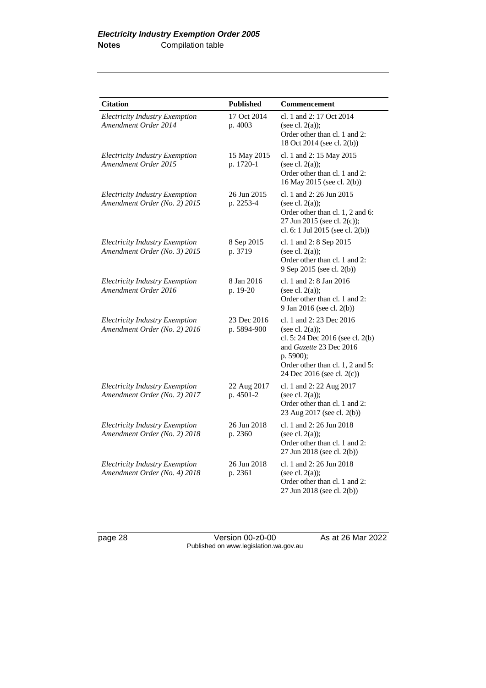| <b>Citation</b>                                                       | <b>Published</b>           | Commencement                                                                                                                                                                                 |
|-----------------------------------------------------------------------|----------------------------|----------------------------------------------------------------------------------------------------------------------------------------------------------------------------------------------|
| <b>Electricity Industry Exemption</b><br>Amendment Order 2014         | 17 Oct 2014<br>p. 4003     | cl. 1 and 2: 17 Oct 2014<br>(see cl. $2(a)$ );<br>Order other than cl. 1 and 2:<br>18 Oct 2014 (see cl. 2(b))                                                                                |
| <b>Electricity Industry Exemption</b><br>Amendment Order 2015         | 15 May 2015<br>p. 1720-1   | cl. 1 and 2: 15 May 2015<br>(see cl. $2(a)$ );<br>Order other than cl. 1 and 2:<br>16 May 2015 (see cl. 2(b))                                                                                |
| <b>Electricity Industry Exemption</b><br>Amendment Order (No. 2) 2015 | 26 Jun 2015<br>p. 2253-4   | cl. 1 and 2: 26 Jun 2015<br>(see cl. $2(a)$ );<br>Order other than cl. 1, 2 and 6:<br>27 Jun 2015 (see cl. 2(c));<br>cl. 6: 1 Jul 2015 (see cl. 2(b))                                        |
| <b>Electricity Industry Exemption</b><br>Amendment Order (No. 3) 2015 | 8 Sep 2015<br>p. 3719      | cl. 1 and 2: 8 Sep 2015<br>(see cl. $2(a)$ );<br>Order other than cl. 1 and 2:<br>9 Sep 2015 (see cl. 2(b))                                                                                  |
| <b>Electricity Industry Exemption</b><br>Amendment Order 2016         | 8 Jan 2016<br>p. 19-20     | cl. 1 and 2: 8 Jan 2016<br>(see cl. $2(a)$ );<br>Order other than cl. 1 and 2:<br>9 Jan 2016 (see cl. 2(b))                                                                                  |
| <b>Electricity Industry Exemption</b><br>Amendment Order (No. 2) 2016 | 23 Dec 2016<br>p. 5894-900 | cl. 1 and 2: 23 Dec 2016<br>(see cl. $2(a)$ );<br>cl. 5: 24 Dec 2016 (see cl. 2(b)<br>and Gazette 23 Dec 2016<br>p. 5900);<br>Order other than cl. 1, 2 and 5:<br>24 Dec 2016 (see cl. 2(c)) |
| <b>Electricity Industry Exemption</b><br>Amendment Order (No. 2) 2017 | 22 Aug 2017<br>p. 4501-2   | cl. 1 and 2: 22 Aug 2017<br>(see cl. $2(a)$ );<br>Order other than cl. 1 and 2:<br>23 Aug 2017 (see cl. 2(b))                                                                                |
| <b>Electricity Industry Exemption</b><br>Amendment Order (No. 2) 2018 | 26 Jun 2018<br>p. 2360     | cl. 1 and 2: 26 Jun 2018<br>(see cl. $2(a)$ );<br>Order other than cl. 1 and 2:<br>27 Jun 2018 (see cl. 2(b))                                                                                |
| <b>Electricity Industry Exemption</b><br>Amendment Order (No. 4) 2018 | 26 Jun 2018<br>p. 2361     | cl. 1 and 2: 26 Jun 2018<br>(see cl. $2(a)$ );<br>Order other than cl. 1 and 2:<br>27 Jun 2018 (see cl. 2(b))                                                                                |

page 28 Version 00-z0-00 As at 26 Mar 2022 Published on www.legislation.wa.gov.au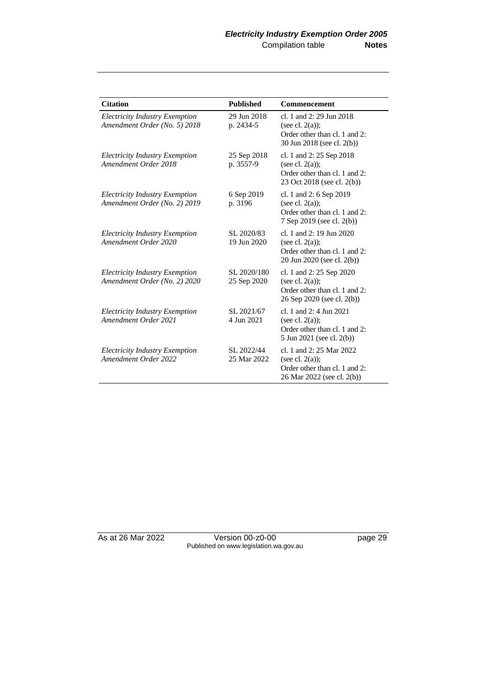| <b>Citation</b>                                                       | <b>Published</b>           | <b>Commencement</b>                                                                                            |
|-----------------------------------------------------------------------|----------------------------|----------------------------------------------------------------------------------------------------------------|
| <b>Electricity Industry Exemption</b><br>Amendment Order (No. 5) 2018 | 29 Jun 2018<br>p. 2434-5   | cl. 1 and 2: 29 Jun 2018<br>(see cl. $2(a)$ );<br>Order other than cl. 1 and 2:<br>30 Jun 2018 (see cl. 2(b))  |
| <b>Electricity Industry Exemption</b><br>Amendment Order 2018         | 25 Sep 2018<br>p. 3557-9   | cl. 1 and 2: 25 Sep 2018<br>(see cl. $2(a)$ );<br>Order other than cl. 1 and 2:<br>23 Oct 2018 (see cl. 2(b))  |
| <b>Electricity Industry Exemption</b><br>Amendment Order (No. 2) 2019 | 6 Sep 2019<br>p. 3196      | cl. 1 and 2: 6 Sep 2019<br>(see cl. $2(a)$ );<br>Order other than cl. 1 and 2:<br>7 Sep 2019 (see cl. 2(b))    |
| <b>Electricity Industry Exemption</b><br>Amendment Order 2020         | SL 2020/83<br>19 Jun 2020  | cl. 1 and 2: 19 Jun 2020<br>(see cl. $2(a)$ );<br>Order other than cl. 1 and 2:<br>20 Jun 2020 (see cl. 2(b))  |
| <b>Electricity Industry Exemption</b><br>Amendment Order (No. 2) 2020 | SL 2020/180<br>25 Sep 2020 | cl. 1 and 2: 25 Sep 2020<br>(see cl. $2(a)$ );<br>Order other than cl. 1 and 2:<br>26 Sep 2020 (see cl. 2(b))  |
| <b>Electricity Industry Exemption</b><br>Amendment Order 2021         | SL 2021/67<br>4 Jun 2021   | cl. 1 and $2:4$ Jun $2021$<br>(see cl. $2(a)$ );<br>Order other than cl. 1 and 2:<br>5 Jun 2021 (see cl. 2(b)) |
| <b>Electricity Industry Exemption</b><br>Amendment Order 2022         | SL 2022/44<br>25 Mar 2022  | cl. 1 and 2: 25 Mar 2022<br>(see cl. $2(a)$ );<br>Order other than cl. 1 and 2:<br>26 Mar 2022 (see cl. 2(b))  |

As at 26 Mar 2022 Version 00-z0-00 page 29 Published on www.legislation.wa.gov.au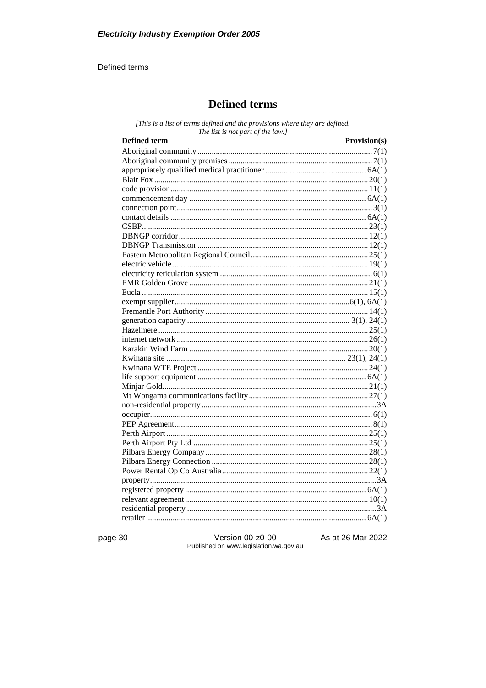#### Defined terms

## **Defined terms**

[This is a list of terms defined and the provisions where they are defined. The list is not part of the law.]

| <b>Defined term</b> | Provision(s) |
|---------------------|--------------|
|                     |              |
|                     |              |
|                     |              |
|                     |              |
|                     |              |
|                     |              |
|                     |              |
|                     |              |
|                     |              |
|                     |              |
|                     |              |
|                     |              |
|                     |              |
|                     |              |
|                     |              |
|                     |              |
|                     |              |
|                     |              |
|                     |              |
|                     |              |
|                     |              |
|                     |              |
|                     |              |
|                     |              |
|                     |              |
|                     |              |
|                     |              |
|                     |              |
|                     |              |
|                     |              |
|                     |              |
|                     |              |
|                     |              |
|                     |              |
|                     |              |
|                     |              |
|                     |              |
|                     |              |
|                     |              |
|                     |              |
|                     |              |

page 30

Version 00-z0-00<br>Published on www.legislation.wa.gov.au

As at 26 Mar 2022